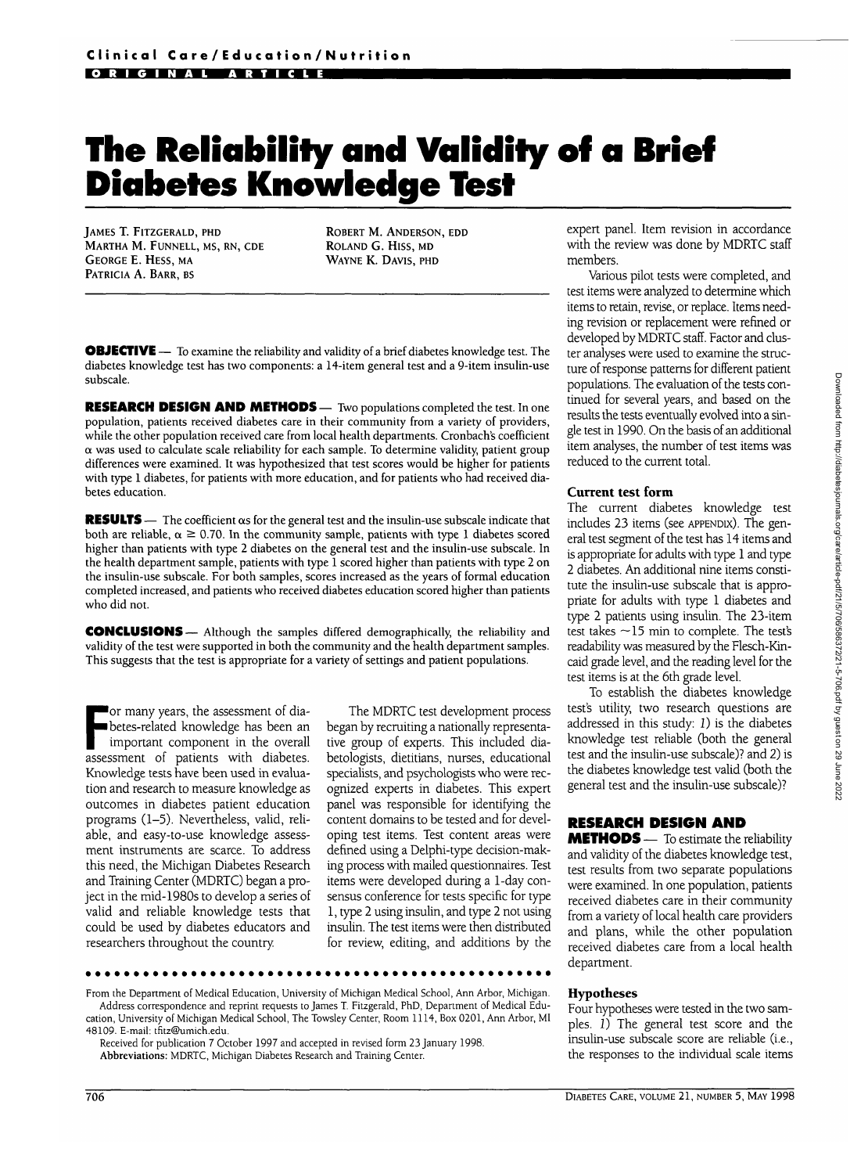# **The Reliability and Validity of a Brief Diabetes Knowledge Test**

JAMES T. FITZGERALD, PHD MARTHA M. FUNNELL, MS, RN, CDE GEORGE E. HESS, MA PATRICIA A. BARR, BS

ROBERT M. ANDERSON, EDD ROLAND G. HISS, MD WAYNE K. DAVIS, PHD

**OBJECTIVE** — To examine the reliability and validity of a brief diabetes knowledge test. The diabetes knowledge test has two components: a 14-item general test and a 9-item insulin-use subscale.

**RESEARCH DESIGN AND METHODS** — Two populations completed the test. In one population, patients received diabetes care in their community from a variety of providers, while the other population received care from local health departments. Cronbach's coefficient  $\alpha$  was used to calculate scale reliability for each sample. To determine validity, patient group differences were examined. It was hypothesized that test scores would be higher for patients with type 1 diabetes, for patients with more education, and for patients who had received diabetes education.

**RESULTS** — The coefficient as for the general test and the insulin-use subscale indicate that both are reliable,  $\alpha \ge 0.70$ . In the community sample, patients with type 1 diabetes scored higher than patients with type 2 diabetes on the general test and the insulin-use subscale. In the health department sample, patients with type 1 scored higher than patients with type 2 on the insulin-use subscale. For both samples, scores increased as the years of formal education completed increased, and patients who received diabetes education scored higher than patients who did not.

**CONCLUSIONS**— Although the samples differed demographically, the reliability and validity of the test were supported in both the community and the health department samples. This suggests that the test is appropriate for a variety of settings and patient populations.

For many years, the assessment of dia-<br>betes-related knowledge has been an important component in the overall<br>assessment of patients, with diabetes betes-related knowledge has been an important component in the overall assessment of patients with diabetes. Knowledge tests have been used in evaluation and research to measure knowledge as outcomes in diabetes patient education programs (1-5). Nevertheless, valid, reliable, and easy-to-use knowledge assessment instruments are scarce. To address this need, the Michigan Diabetes Research and Training Center (MDRTC) began a project in the mid-1980s to develop a series of valid and reliable knowledge tests that could be used by diabetes educators and researchers throughout the country.

The MDRTC test development process began by recruiting a nationally representative group of experts. This included diabetologists, dietitians, nurses, educational specialists, and psychologists who were recognized experts in diabetes. This expert panel was responsible for identifying the content domains to be tested and for developing test items. Test content areas were defined using a Delphi-type decision-making process with mailed questionnaires. Test items were developed during a 1-day consensus conference for tests specific for type 1, type 2 using insulin, and type 2 not using insulin. The test items were then distributed for review, editing, and additions by the

From the Department of Medical Education, University of Michigan Medical School, Ann Arbor, Michigan. Address correspondence and reprint requests to James T. Fitzgerald, PhD, Department of Medical Education, University of Michigan Medical School, The Towsley Center, Room 1114, Box 0201, Ann Arbor, MI 48109. E-mail: tfitz@umich.edu.

Received for publication 7 October 1997 and accepted in revised form 23 January 1998. Abbreviations: MDRTC, Michigan Diabetes Research and Training Center.

expert panel. Item revision in accordance with the review was done by MDRTC staff members.

Various pilot tests were completed, and test items were analyzed to determine which items to retain, revise, or replace. Items needing revision or replacement were refined or developed by MDRTC staff. Factor and cluster analyses were used to examine the structure of response patterns for different patient populations. The evaluation of the tests continued for several years, and based on the results the tests eventually evolved into a single test in 1990. On the basis of an additional item analyses, the number of test items was reduced to the current total.

#### **Current test form**

The current diabetes knowledge test includes 23 items (see APPENDIX). The general test segment of the test has 14 items and is appropriate for adults with type 1 and type 2 diabetes. An additional nine items constitute the insulin-use subscale that is appropriate for adults with type 1 diabetes and type 2 patients using insulin. The 23-item test takes  $\sim$ 15 min to complete. The test's readability was measured by the Flesch-Kincaid grade level, and the reading level for the test items is at the 6th grade level.

To establish the diabetes knowledge test's utility, two research questions are addressed in this study: 1) is the diabetes knowledge test reliable (both the general test and the insulin-use subscale)? and 2) is the diabetes knowledge test valid (both the general test and the insulin-use subscale)?

# **RESEARCH DESIGN AND**

**METHODS** — To estimate the reliability and validity of the diabetes knowledge test, test results from two separate populations were examined. In one population, patients received diabetes care in their community from a variety of local health care providers and plans, while the other population received diabetes care from a local health department.

#### **Hypotheses**

Four hypotheses were tested in the two samples. 1) The general test score and the insulin-use subscale score are reliable (i.e., the responses to the individual scale items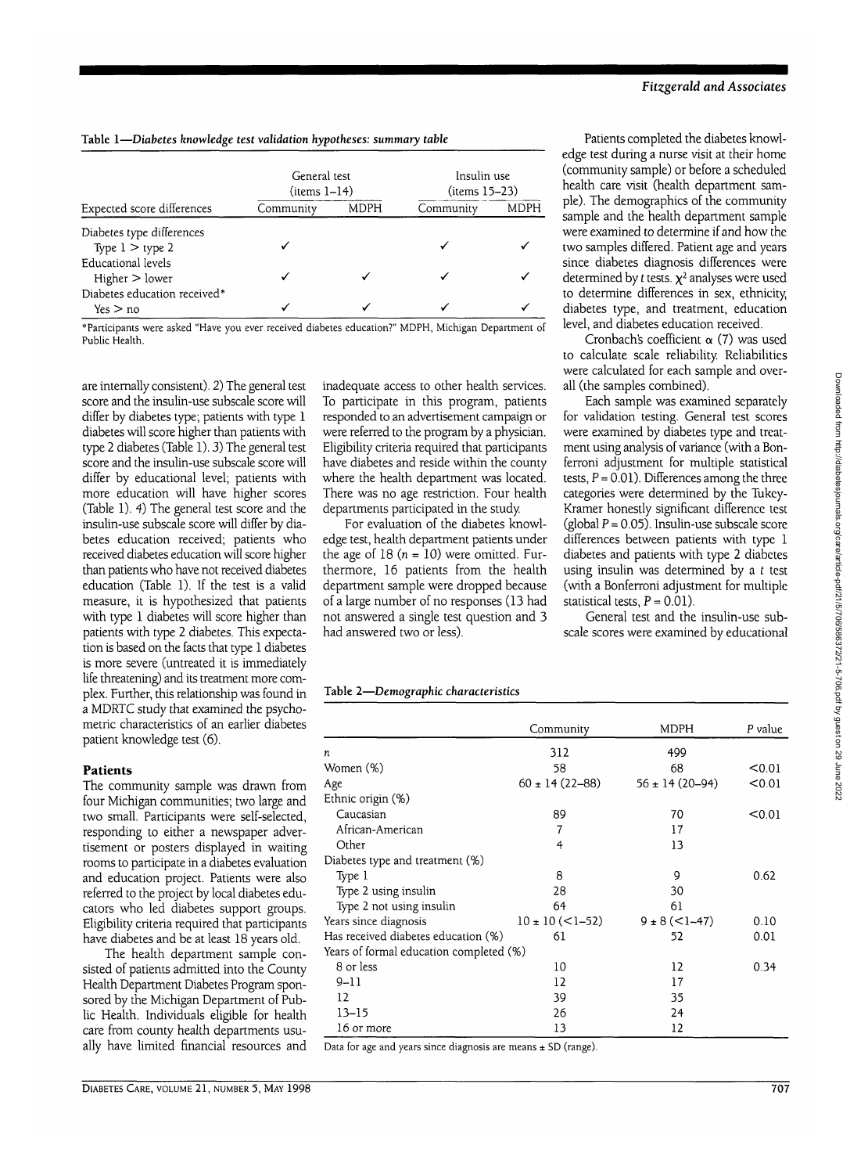# **Table 1—***Diabetes knowledge test validation hypotheses: summary table*

|                                                | General test<br>$(items 1-14)$ |      | Insulin use<br>$(items 15-23)$ |      |
|------------------------------------------------|--------------------------------|------|--------------------------------|------|
| Expected score differences                     | Community                      | MDPH | Community                      | MDPH |
| Diabetes type differences<br>Type $1 >$ type 2 |                                |      |                                |      |
| Educational levels<br>Higher > lower           |                                |      |                                |      |
| Diabetes education received*<br>Yes > no       |                                |      |                                |      |

\* Participants were asked "Have you ever received diabetes education?" MDPH, Michigan Department of Public Health.

are internally consistent). 2) The general test score and the insulin-use subscale score will differ by diabetes type; patients with type 1 diabetes will score higher than patients with type 2 diabetes (Table 1). 3) The general test score and the insulin-use subscale score will differ by educational level; patients with more education will have higher scores (Table 1). 4) The general test score and the insulin-use subscale score will differ by diabetes education received; patients who received diabetes education will score higher than patients who have not received diabetes education (Table 1). If the test is a valid measure, it is hypothesized that patients with type 1 diabetes will score higher than patients with type 2 diabetes. This expectation is based on the facts that type 1 diabetes is more severe (untreated it is immediately life threatening) and its treatment more complex. Further, this relationship was found in a MDRTC study that examined the psychometric characteristics of an earlier diabetes patient knowledge test (6).

# **Patients**

The community sample was drawn from four Michigan communities; two large and two small. Participants were self-selected, responding to either a newspaper advertisement or posters displayed in waiting rooms to participate in a diabetes evaluation and education project. Patients were also referred to the project by local diabetes educators who led diabetes support groups. Eligibility criteria required that participants have diabetes and be at least 18 years old.

The health department sample consisted of patients admitted into the County Health Department Diabetes Program sponsored by the Michigan Department of Public Health. Individuals eligible for health care from county health departments usually have limited financial resources and inadequate access to other health services. To participate in this program, patients responded to an advertisement campaign or were referred to the program by a physician. Eligibility criteria required that participants have diabetes and reside within the county where the health department was located. There was no age restriction. Four health departments participated in the study.

For evaluation of the diabetes knowledge test, health department patients under the age of 18 ( $n = 10$ ) were omitted. Furthermore, 16 patients from the health department sample were dropped because of a large number of no responses (13 had not answered a single test question and 3 had answered two or less).

#### **Table 2—***Demographic characteristics*

|                                         | Community                                  | MDPH                  | P value |
|-----------------------------------------|--------------------------------------------|-----------------------|---------|
| n                                       | 312                                        | 499                   |         |
| Women (%)                               | 58                                         | 68                    | < 0.01  |
| Age                                     | $60 \pm 14(22 - 88)$                       | $56 \pm 14 (20 - 94)$ | < 0.01  |
| Ethnic origin (%)                       |                                            |                       |         |
| Caucasian                               | 89                                         | 70                    | < 0.01  |
| African-American                        | 7                                          | 17                    |         |
| Other                                   | 4                                          | 13                    |         |
| Diabetes type and treatment (%)         |                                            |                       |         |
| Type 1                                  | 8                                          | 9                     | 0.62    |
| Type 2 using insulin                    | 28                                         | 30                    |         |
| Type 2 not using insulin                | 64                                         | 61                    |         |
| Years since diagnosis                   | $10 \pm 10 \left( \text{}< 1 - 52 \right)$ | $9 \pm 8$ (<1-47)     | 0.10    |
| Has received diabetes education (%)     | 61                                         | 52                    | 0.01    |
| Years of formal education completed (%) |                                            |                       |         |
| 8 or less                               | 10                                         | 12                    | 0.34    |
| $9 - 11$                                | 12                                         | 17                    |         |
| $12 \overline{ }$                       | 39                                         | 35                    |         |
| $13 - 15$                               | 26                                         | 24                    |         |
| 16 or more                              | 13                                         | 12                    |         |

Data for age and years since diagnosis are means  $\pm$  SD (range).

Patients completed the diabetes knowledge test during a nurse visit at their home (community sample) or before a scheduled health care visit (health department sample). The demographics of the community sample and the health department sample were examined to determine if and how the two samples differed. Patient age and years since diabetes diagnosis differences were determined by t tests.  $\chi^2$  analyses were used to determine differences in sex, ethnicity, diabetes type, and treatment, education level, and diabetes education received.

Cronbach's coefficient  $\alpha$  (7) was used to calculate scale reliability. Reliabilities were calculated for each sample and overall (the samples combined).

Each sample was examined separately for validation testing. General test scores were examined by diabetes type and treatment using analysis of variance (with a Bonferroni adjustment for multiple statistical tests,  $P = 0.01$ ). Differences among the three categories were determined by the Tukey-Kramer honestly significant difference test (global  $P = 0.05$ ). Insulin-use subscale score differences between patients with type 1 diabetes and patients with type 2 diabetes using insulin was determined by a *t* test (with a Bonferroni adjustment for multiple statistical tests,  $P = 0.01$ ).

General test and the insulin-use subscale scores were examined by educational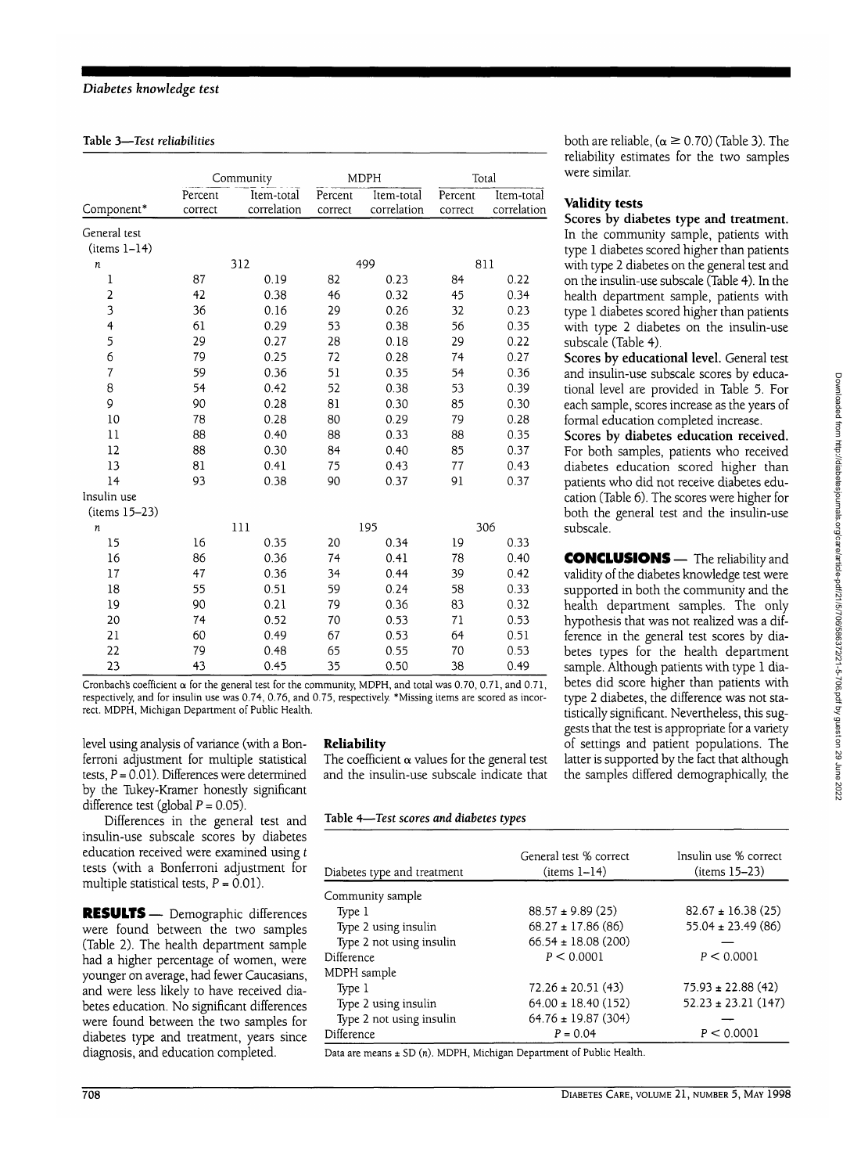# **Table 3—***Test reliabilities*

|                         |         | Community   |         | MDPH        |         | Total       |
|-------------------------|---------|-------------|---------|-------------|---------|-------------|
|                         | Percent | Item-total  | Percent | Item-total  | Percent | Item-total  |
| Component*              | correct | correlation | correct | correlation | correct | correlation |
| General test            |         |             |         |             |         |             |
| $(items 1-14)$          |         |             |         |             |         |             |
| $\it n$                 |         | 312         |         | 499         |         | 811         |
| $\bf{l}$                | 87      | 0.19        | 82      | 0.23        | 84      | 0.22        |
| $\overline{\mathbf{c}}$ | 42      | 0.38        | 46      | 0.32        | 45      | 0.34        |
| 3                       | 36      | 0.16        | 29      | 0.26        | 32      | 0.23        |
| $\overline{4}$          | 61      | 0.29        | 53      | 0.38        | 56      | 0.35        |
| 5                       | 29      | 0.27        | 28      | 0.18        | 29      | 0.22        |
| 6                       | 79      | 0.25        | 72      | 0.28        | 74      | 0.27        |
| $\overline{7}$          | 59      | 0.36        | 51      | 0.35        | 54      | 0.36        |
| 8                       | 54      | 0.42        | 52      | 0.38        | 53      | 0.39        |
| 9                       | 90      | 0.28        | 81      | 0.30        | 85      | 0.30        |
| 10                      | 78      | 0.28        | 80      | 0.29        | 79      | 0.28        |
| 11                      | 88      | 0.40        | 88      | 0.33        | 88      | 0.35        |
| 12                      | 88      | 0.30        | 84      | 0.40        | 85      | 0.37        |
| 13                      | 81      | 0.41        | 75      | 0.43        | 77      | 0.43        |
| 14                      | 93      | 0.38        | 90      | 0.37        | 91      | 0.37        |
| Insulin use             |         |             |         |             |         |             |
| (items 15-23)           |         |             |         |             |         |             |
| n                       |         | 111         |         | 195         |         | 306         |
| 15                      | 16      | 0.35        | 20      | 0.34        | 19      | 0.33        |
| 16                      | 86      | 0.36        | 74      | 0.41        | 78      | 0.40        |
| 17                      | 47      | 0.36        | 34      | 0.44        | 39      | 0.42        |
| 18                      | 55      | 0.51        | 59      | 0.24        | 58      | 033         |
| 19                      | 90      | 0.21        | 79      | 0.36        | 83      | 0.32        |
| 20                      | 74      | 0.52        | 70      | 0.53        | 71      | 0.53        |
| 21                      | 60      | 0.49        | 67      | 0.53        | 64      | 0.51        |
| 22                      | 79      | 0.48        | 65      | 0.55        | 70      | 0.53        |
| 23                      | 43      | 0.45        | 35      | 0.50        | 38      | 0.49        |

Cronbach's coefficient  $\alpha$  for the general test for the community, MDPH, and total was 0.70, 0.71, and 0.71, respectively, and for insulin use was 0.74, 0.76, and 0.75, respectively. \*Missing items are scored as incorrect. MDPH, Michigan Department of Public Health.

level using analysis of variance (with a Bonferroni adjustment for multiple statistical tests,  $P = 0.01$ ). Differences were determined by the Tukey-Kramer honestly significant difference test (global  $P = 0.05$ ).

Differences in the general test and insulin-use subscale scores by diabetes education received were examined using *t* tests (with a Bonferroni adjustment for multiple statistical tests,  $P = 0.01$ .

**RESULTS**— Demographic differences were found between the two samples (Table 2). The health department sample had a higher percentage of women, were younger on average, had fewer Caucasians, and were less likely to have received diabetes education. No significant differences were found between the two samples for diabetes type and treatment, years since diagnosis, and education completed.

# **Reliability**

The coefficient  $\alpha$  values for the general test and the insulin-use subscale indicate that

#### **Table 4—Test** *scores and diabetes types*

| Diabetes type and treatment | General test % correct<br>$(items 1-14)$ | Insulin use % correct<br>$(items 15-23)$ |  |
|-----------------------------|------------------------------------------|------------------------------------------|--|
| Community sample            |                                          |                                          |  |
| Type 1                      | $88.57 \pm 9.89(25)$                     | $82.67 \pm 16.38(25)$                    |  |
| Type 2 using insulin        | $68.27 \pm 17.86(86)$                    | $55.04 \pm 23.49(86)$                    |  |
| Type 2 not using insulin    | $66.54 \pm 18.08$ (200)                  |                                          |  |
| Difference.                 | P < 0.0001                               | P < 0.0001                               |  |
| MDPH sample                 |                                          |                                          |  |
| Type 1                      | $72.26 \pm 20.51(43)$                    | $75.93 \pm 22.88(42)$                    |  |
| Type 2 using insulin        | $64.00 \pm 18.40$ (152)                  | $52.23 \pm 23.21$ (147)                  |  |
| Type 2 not using insulin    | $64.76 \pm 19.87$ (304)                  |                                          |  |
| Difference                  | $P = 0.04$                               | P < 0.0001                               |  |

Data are means ± SD (n). MDPH, Michigan Department of Public Health.

both are reliable,  $(\alpha \ge 0.70)$  (Table 3). The reliability estimates for the two samples were similar.

# **Validity tests**

**Scores by diabetes type and treatment.** In the community sample, patients with type 1 diabetes scored higher than patients with type 2 diabetes on the general test and on the insulin-use subscale (Table 4). In the health department sample, patients with type 1 diabetes scored higher than patients with type 2 diabetes on the insulin-use subscale (Table 4).

**Scores by educational level.** General test and insulin-use subscale scores by educational level are provided in Table 5. For each sample, scores increase as the years of formal education completed increase.

**Scores by diabetes education received.** For both samples, patients who received diabetes education scored higher than patients who did not receive diabetes education (Table 6). The scores were higher for both the general test and the insulin-use subscale.

**CONCLUSIONS** — The reliability and validity of the diabetes knowledge test were supported in both the community and the health department samples. The only hypothesis that was not realized was a difference in the general test scores by diabetes types for the health department sample. Although patients with type 1 diabetes did score higher than patients with type 2 diabetes, the difference was not statistically significant. Nevertheless, this suggests that the test is appropriate for a variety of settings and patient populations. The latter is supported by the fact that although the samples differed demographically, the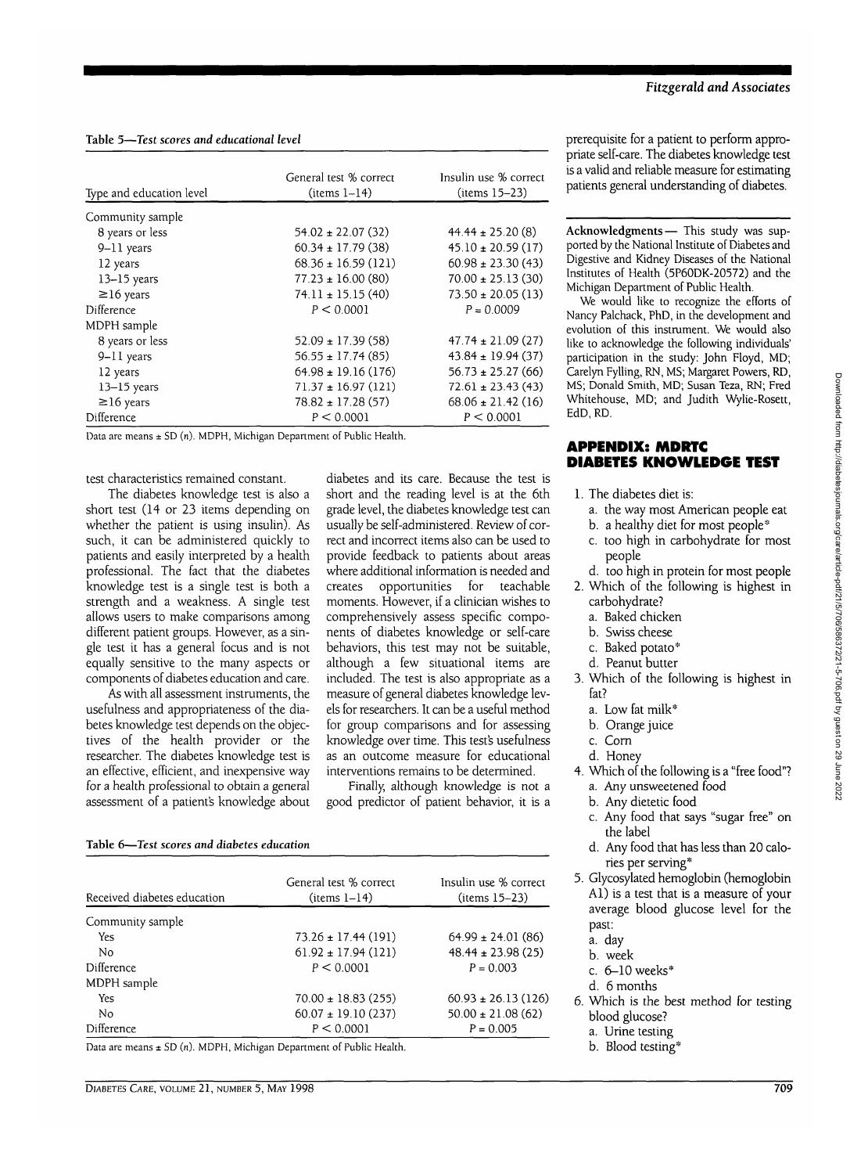#### **Table** 5—*Test scores and educational level*

| Type and education level | General test % correct<br>$(items 1-14)$ | Insulin use % correct<br>$(items 15-23)$ |
|--------------------------|------------------------------------------|------------------------------------------|
| Community sample         |                                          |                                          |
| 8 years or less          | $54.02 \pm 22.07(32)$                    | $44.44 \pm 25.20(8)$                     |
| 9-11 years               | $60.34 \pm 17.79(38)$                    | $45.10 \pm 20.59(17)$                    |
| 12 years                 | $68.36 \pm 16.59$ (121)                  | $60.98 \pm 23.30(43)$                    |
| $13 - 15$ years          | $77.23 \pm 16.00(80)$                    | $70.00 \pm 25.13(30)$                    |
| $\geq$ 16 years          | $74.11 \pm 15.15(40)$                    | $73.50 \pm 20.05(13)$                    |
| Difference               | P < 0.0001                               | $P = 0.0009$                             |
| MDPH sample              |                                          |                                          |
| 8 years or less          | $52.09 \pm 17.39(58)$                    | $47.74 \pm 21.09(27)$                    |
| 9-11 years               | $56.55 \pm 17.74(85)$                    | $43.84 \pm 19.94(37)$                    |
| 12 years                 | $64.98 \pm 19.16(176)$                   | $56.73 \pm 25.27(66)$                    |
| $13-15$ years            | $71.37 \pm 16.97$ (121)                  | $72.61 \pm 23.43(43)$                    |
| $\geq$ 16 years          | $78.82 \pm 17.28(57)$                    | $68.06 \pm 21.42(16)$                    |
| Difference               | P < 0.0001                               | P < 0.0001                               |

Data are means ± SD (n). MDPH, Michigan Department of Public Health.

#### test characteristics remained constant.

The diabetes knowledge test is also a short test (14 or 23 items depending on whether the patient is using insulin). As such, it can be administered quickly to patients and easily interpreted by a health professional. The fact that the diabetes knowledge test is a single test is both a strength and a weakness. A single test allows users to make comparisons among different patient groups. However, as a single test it has a general focus and is not equally sensitive to the many aspects or components of diabetes education and care.

As with all assessment instruments, the usefulness and appropriateness of the diabetes knowledge test depends on the objectives of the health provider or the researcher. The diabetes knowledge test is an effective, efficient, and inexpensive way for a health professional to obtain a general assessment of a patient's knowledge about

Table 6—Test *scores and diabetes education*

diabetes and its care. Because the test is short and the reading level is at the 6th grade level, the diabetes knowledge test can usually be self-administered. Review of correct and incorrect items also can be used to provide feedback to patients about areas where additional information is needed and creates opportunities for teachable moments. However, if a clinician wishes to comprehensively assess specific components of diabetes knowledge or self-care behaviors, this test may not be suitable, although a few situational items are included. The test is also appropriate as a measure of general diabetes knowledge levels for researchers. It can be a useful method for group comparisons and for assessing knowledge over time. This test's usefulness as an outcome measure for educational interventions remains to be determined.

Finally, although knowledge is not a good predictor of patient behavior, it is a

| Received diabetes education | General test % correct<br>$(items 1-14)$ | Insulin use % correct<br>$(items 15-23)$ |  |
|-----------------------------|------------------------------------------|------------------------------------------|--|
| Community sample            |                                          |                                          |  |
| Yes.                        | $73.26 \pm 17.44(191)$                   | $64.99 \pm 24.01(86)$                    |  |
| No                          | $61.92 \pm 17.94(121)$                   | $48.44 \pm 23.98(25)$                    |  |
| Difference                  | P < 0.0001                               | $P = 0.003$                              |  |
| MDPH sample                 |                                          |                                          |  |
| Yes                         | $70.00 \pm 18.83$ (255)                  | $60.93 \pm 26.13(126)$                   |  |
| No                          | $60.07 \pm 19.10(237)$                   | $50.00 \pm 21.08(62)$                    |  |
| Difference                  | P < 0.0001                               | $P = 0.005$                              |  |

Data are means ± SD (n). MDPH, Michigan Department of Public Health.

prerequisite for a patient to perform appropriate self-care. The diabetes knowledge test is a valid and reliable measure for estimating patients general understanding of diabetes.

**Acknowledgments**— This study was supported by the National Institute of Diabetes and Digestive and Kidney Diseases of the National Institutes of Health (5P60DK-20572) and the Michigan Department of Public Health.

We would like to recognize the efforts of Nancy Palchack, PhD, in the development and evolution of this instrument. We would also like to acknowledge the following individuals' participation in the study: John Floyd, MD; Carelyn Fylling, RN, MS; Margaret Powers, RD, MS; Donald Smith, MD; Susan Teza, RN; Fred Whitehouse, MD; and Judith Wylie-Rosett, EdD, RD.

#### **APPENDIX: MDRTC DIABETES KNOWLEDGE TEST**

1. The diabetes diet is:

- a. the way most American people eat
- b. a healthy diet for most people\*
- c. too high in carbohydrate for most people
- d. too high in protein for most people
- 2. Which of the following is highest in carbohydrate?
	- a. Baked chicken
	- b. Swiss cheese
	- c. Baked potato\*
	- d. Peanut butter
- 3. Which of the following is highest in fat?
	- a. Low fat milk\*
	- b. Orange juice
	- c. Corn
	- d. Honey

- a. Any unsweetened food
- b. Any dietetic food
- c. Any food that says "sugar free" on the label
- d. Any food that has less than 20 calories per serving\*
- 5. Glycosylated hemoglobin (hemoglobin Al) is a test that is a measure of your average blood glucose level for the past:
	- a. day
	- b. week
	- c. 6-10 weeks\*
	- d. 6 months
- 6. Which is the best method for testing blood glucose?
	- a. Urine testing
	- b. Blood testing\*

<sup>4.</sup> Which of the following is a "free food"?